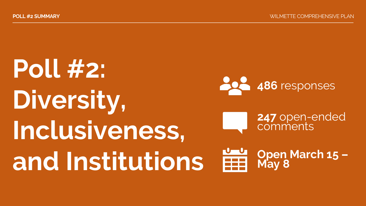## **Poll #2: Diversity, Inclusiveness, and Institutions 486** responses **247** open-ended comments **Open March 15 – May 8**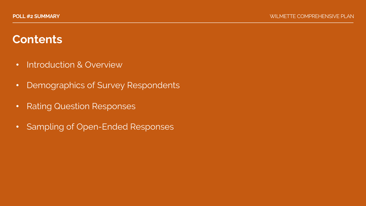## **Contents**

- Introduction & Overview
- Demographics of Survey Respondents
- Rating Question Responses
- Sampling of Open-Ended Responses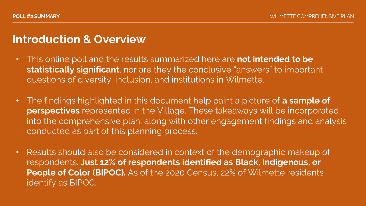### **Introduction & Overview**

- This online poll and the results summarized here are **not intended to be statistically significant**, nor are they the conclusive "answers" to important questions of diversity, inclusion, and institutions in Wilmette.
- The findings highlighted in this document help paint a picture of **a sample of perspectives** represented in the Village. These takeaways will be incorporated into the comprehensive plan, along with other engagement findings and analysis conducted as part of this planning process.
- Results should also be considered in context of the demographic makeup of respondents. **Just 12% of respondents identified as Black, Indigenous, or People of Color (BIPOC).** As of the 2020 Census, 22% of Wilmette residents identify as BIPOC.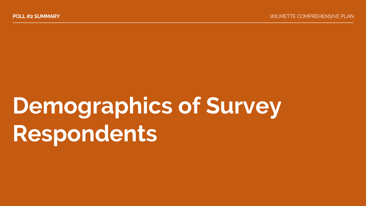# **Demographics of Survey Respondents**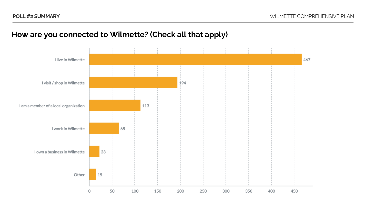

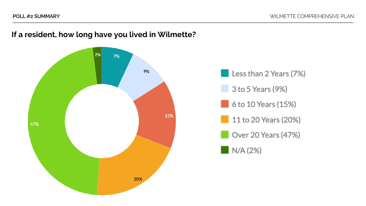

### **If a resident, how long have you lived in Wilmette?**

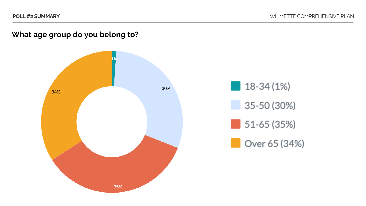### **What age group do you belong to?**



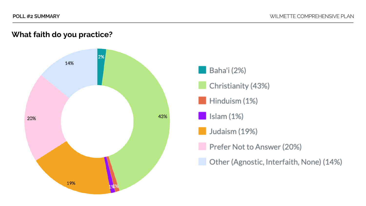Baha'i (2%)

Christianity (43%)

Hinduism (1%)

Judaism (19%)

Prefer Not to Answer (20%)

Other (Agnostic, Interfaith, None) (14%)

Islam (1%)

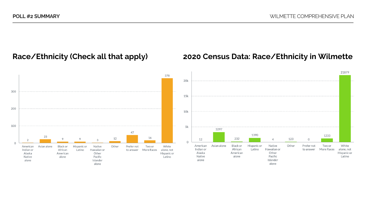### **Race/Ethnicity (Check all that apply)**



#### **2020 Census Data: Race/Ethnicity in Wilmette**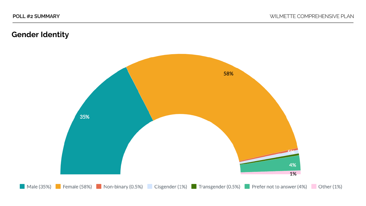### **Gender Identity**

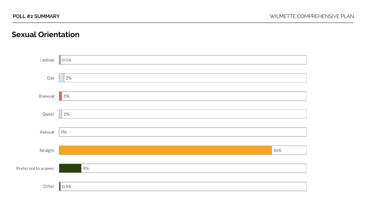#### **Sexual Orientation**

| Lesbian              | 0.5%  |  |
|----------------------|-------|--|
| Gay                  | 2%    |  |
| Bisexual             | 1%    |  |
| Queer                | $1\%$ |  |
| Asexual              | 0%    |  |
| Straight             | 86%   |  |
| Prefer not to answer | 9%    |  |
| Other                | 0.5%  |  |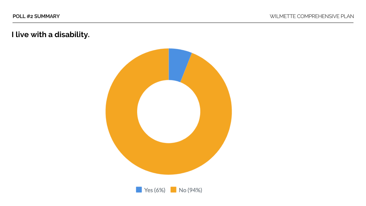**I live with a disability.**



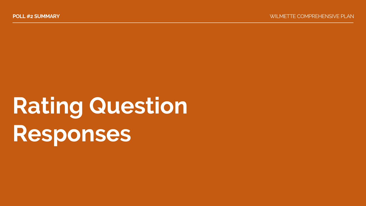# **Rating Question Responses**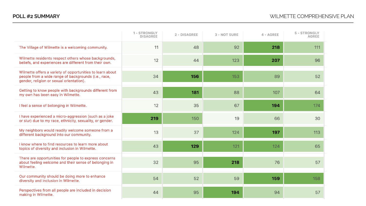|                                                                                                                                                               | 1 - STRONGLY<br><b>DISAGREE</b> | 2 - DISAGREE | 3 - NOT SURE | 4 - AGREE | 5 - STRONGLY<br><b>AGREE</b> |
|---------------------------------------------------------------------------------------------------------------------------------------------------------------|---------------------------------|--------------|--------------|-----------|------------------------------|
| The Village of Wilmette is a welcoming community.                                                                                                             | 11                              | 48           | 92           | 218       | 111                          |
| Wilmette residents respect others whose backgrounds,<br>beliefs, and experiences are different from their own.                                                | 12                              | 44           | 123          | 207       | 96                           |
| Wilmette offers a variety of opportunities to learn about<br>people from a wide range of backgrounds (i.e., race,<br>gender, religion or sexual orientation). | 34                              | 156          | 153          | 89        | 52                           |
| Getting to know people with backgrounds different from<br>my own has been easy in Wilmette.                                                                   | 43                              | 181          | 88           | 107       | 64                           |
| I feel a sense of belonging in Wilmette.                                                                                                                      | 12                              | 35           | 67           | 194       | 174                          |
| I have experienced a micro-aggression (such as a joke<br>or slur) due to my race, ethnicity, sexuality, or gender.                                            | 219                             | 150          | 19           | 66        | 30                           |
| My neighbors would readily welcome someone from a<br>different background into our community.                                                                 | 13                              | 37           | 124          | 197       | 113                          |
| I know where to find resources to learn more about<br>topics of diversity and inclusion in Wilmette.                                                          | 43                              | 129          | 121          | 124       | 65                           |
| There are opportunities for people to express concerns<br>about feeling welcome and their sense of belonging in<br>Wilmette.                                  | 32                              | 95           | 218          | 76        | 57                           |
| Our community should be doing more to enhance<br>diversity and inclusion in Wilmette.                                                                         | 54                              | 52           | 59           | 159       | 158                          |
| Perspectives from all people are included in decision<br>making in Wilmette.                                                                                  | 44                              | 95           | 194          | 94        | 57                           |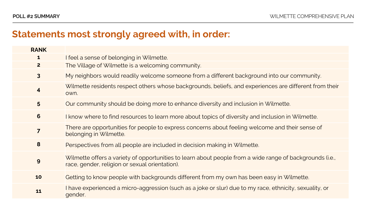### **Statements most strongly agreed with, in order:**

| <b>RANK</b>             |                                                                                                                                                            |
|-------------------------|------------------------------------------------------------------------------------------------------------------------------------------------------------|
| 1                       | I feel a sense of belonging in Wilmette.                                                                                                                   |
| $\mathbf{2}$            | The Village of Wilmette is a welcoming community.                                                                                                          |
| $\overline{\mathbf{3}}$ | My neighbors would readily welcome someone from a different background into our community.                                                                 |
| $\overline{\mathbf{4}}$ | Wilmette residents respect others whose backgrounds, beliefs, and experiences are different from their<br>own.                                             |
| 5                       | Our community should be doing more to enhance diversity and inclusion in Wilmette.                                                                         |
| $6\phantom{1}6$         | I know where to find resources to learn more about topics of diversity and inclusion in Wilmette.                                                          |
| $\overline{7}$          | There are opportunities for people to express concerns about feeling welcome and their sense of<br>belonging in Wilmette.                                  |
| 8                       | Perspectives from all people are included in decision making in Wilmette.                                                                                  |
| 9                       | Wilmette offers a variety of opportunities to learn about people from a wide range of backgrounds (i.e.,<br>race, gender, religion or sexual orientation). |
| 10                      | Getting to know people with backgrounds different from my own has been easy in Wilmette.                                                                   |
| 11                      | I have experienced a micro-aggression (such as a joke or slur) due to my race, ethnicity, sexuality, or<br>gender.                                         |
|                         |                                                                                                                                                            |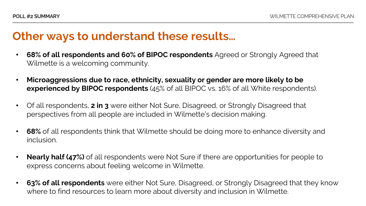### **Other ways to understand these results…**

- **68% of all respondents and 60% of BIPOC respondents** Agreed or Strongly Agreed that Wilmette is a welcoming community.
- **Microaggressions due to race, ethnicity, sexuality or gender are more likely to be experienced by BIPOC respondents** (45% of all BIPOC vs. 16% of all White respondents).
- Of all respondents, **2 in 3** were either Not Sure, Disagreed, or Strongly Disagreed that perspectives from all people are included in Wilmette's decision making.
- **68%** of all respondents think that Wilmette should be doing more to enhance diversity and inclusion.
- **Nearly half (47%)** of all respondents were Not Sure if there are opportunities for people to express concerns about feeling welcome in Wilmette.
- **63% of all respondents** were either Not Sure, Disagreed, or Strongly Disagreed that they know where to find resources to learn more about diversity and inclusion in Wilmette.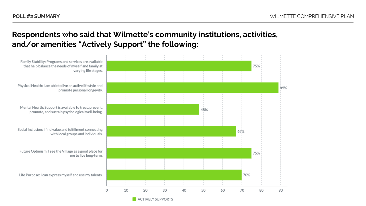### **Respondents who said that Wilmette's community institutions, activities, and/or amenities "Actively Support" the following:**

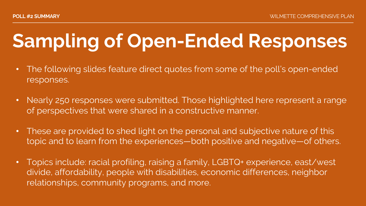## **Sampling of Open-Ended Responses**

- The following slides feature direct quotes from some of the poll's open-ended responses.
- Nearly 250 responses were submitted. Those highlighted here represent a range of perspectives that were shared in a constructive manner.
- These are provided to shed light on the personal and subjective nature of this topic and to learn from the experiences—both positive and negative—of others.
- Topics include: racial profiling, raising a family, LGBTQ+ experience, east/west divide, affordability, people with disabilities, economic differences, neighbor relationships, community programs, and more.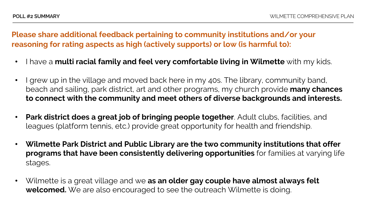- I have a **multi racial family and feel very comfortable living in Wilmette** with my kids.
- I grew up in the village and moved back here in my 40s. The library, community band, beach and sailing, park district, art and other programs, my church provide **many chances to connect with the community and meet others of diverse backgrounds and interests.**
- **Park district does a great job of bringing people together**. Adult clubs, facilities, and leagues (platform tennis, etc.) provide great opportunity for health and friendship.
- **Wilmette Park District and Public Library are the two community institutions that offer programs that have been consistently delivering opportunities** for families at varying life stages.
- Wilmette is a great village and we **as an older gay couple have almost always felt welcomed.** We are also encouraged to see the outreach Wilmette is doing.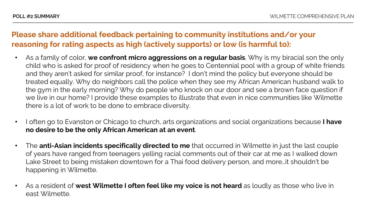- As a family of color, **we confront micro aggressions on a regular basis**. Why is my biracial son the only child who is asked for proof of residency when he goes to Centennial pool with a group of white friends and they aren't asked for similar proof, for instance? I don't mind the policy but everyone should be treated equally. Why do neighbors call the police when they see my African American husband walk to the gym in the early morning? Why do people who knock on our door and see a brown face question if we live in our home? I provide these examples to illustrate that even in nice communities like Wilmette there is a lot of work to be done to embrace diversity.
- I often go to Evanston or Chicago to church, arts organizations and social organizations because **I have no desire to be the only African American at an event**.
- The **anti-Asian incidents specifically directed to me** that occurred in Wilmette in just the last couple of years have ranged from teenagers yelling racial comments out of their car at me as I walked down Lake Street to being mistaken downtown for a Thai food delivery person, and more…it shouldn't be happening in Wilmette.
- As a resident of **west Wilmette I often feel like my voice is not heard** as loudly as those who live in east Wilmette.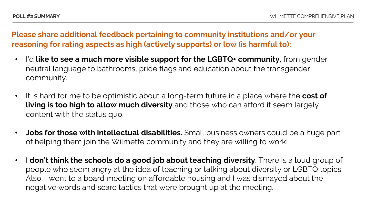- I'd **like to see a much more visible support for the LGBTQ+ community**, from gender neutral language to bathrooms, pride flags and education about the transgender community.
- It is hard for me to be optimistic about a long-term future in a place where the **cost of living is too high to allow much diversity** and those who can afford it seem largely content with the status quo.
- **Jobs for those with intellectual disabilities.** Small business owners could be a huge part of helping them join the Wilmette community and they are willing to work!
- I **don't think the schools do a good job about teaching diversity**. There is a loud group of people who seem angry at the idea of teaching or talking about diversity or LGBTQ topics. Also, I went to a board meeting on affordable housing and I was dismayed about the negative words and scare tactics that were brought up at the meeting.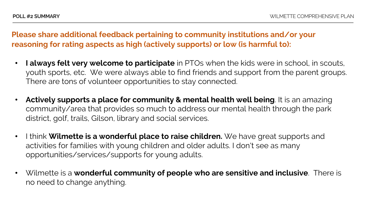- **I always felt very welcome to participate** in PTOs when the kids were in school, in scouts, youth sports, etc. We were always able to find friends and support from the parent groups. There are tons of volunteer opportunities to stay connected.
- **Actively supports a place for community & mental health well being**. It is an amazing community/area that provides so much to address our mental health through the park district, golf, trails, Gilson, library and social services.
- I think **Wilmette is a wonderful place to raise children.** We have great supports and activities for families with young children and older adults. I don't see as many opportunities/services/supports for young adults.
- Wilmette is a **wonderful community of people who are sensitive and inclusive**. There is no need to change anything.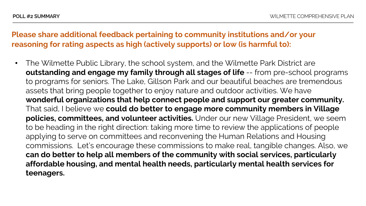• The Wilmette Public Library, the school system, and the Wilmette Park District are **outstanding and engage my family through all stages of life** -- from pre-school programs to programs for seniors. The Lake, Gillson Park and our beautiful beaches are tremendous assets that bring people together to enjoy nature and outdoor activities. We have **wonderful organizations that help connect people and support our greater community.** That said, I believe we **could do better to engage more community members in Village policies, committees, and volunteer activities.** Under our new Village President, we seem to be heading in the right direction: taking more time to review the applications of people applying to serve on committees and reconvening the Human Relations and Housing commissions. Let's encourage these commissions to make real, tangible changes. Also, we **can do better to help all members of the community with social services, particularly affordable housing, and mental health needs, particularly mental health services for teenagers.**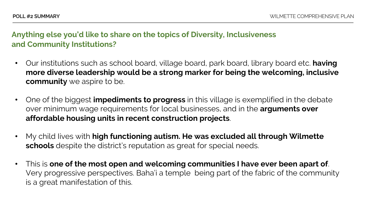### **Anything else you'd like to share on the topics of Diversity, Inclusiveness and Community Institutions?**

- Our institutions such as school board, village board, park board, library board etc. **having more diverse leadership would be a strong marker for being the welcoming, inclusive community** we aspire to be.
- One of the biggest **impediments to progress** in this village is exemplified in the debate over minimum wage requirements for local businesses, and in the **arguments over affordable housing units in recent construction projects**.
- My child Iives with **high functioning autism. He was excluded all through Wilmette schools** despite the district's reputation as great for special needs.
- This is **one of the most open and welcoming communities I have ever been apart of**. Very progressive perspectives. Baha'i a temple being part of the fabric of the community is a great manifestation of this.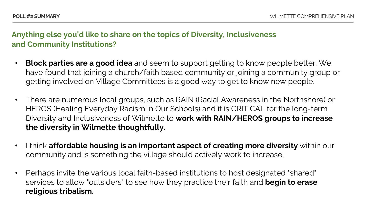### **Anything else you'd like to share on the topics of Diversity, Inclusiveness and Community Institutions?**

- **Block parties are a good idea** and seem to support getting to know people better. We have found that joining a church/faith based community or joining a community group or getting involved on Village Committees is a good way to get to know new people.
- There are numerous local groups, such as RAIN (Racial Awareness in the Northshore) or HEROS (Healing Everyday Racism in Our Schools) and it is CRITICAL for the long-term Diversity and Inclusiveness of Wilmette to **work with RAIN/HEROS groups to increase the diversity in Wilmette thoughtfully.**
- I think **affordable housing is an important aspect of creating more diversity** within our community and is something the village should actively work to increase.
- Perhaps invite the various local faith-based institutions to host designated "shared" services to allow "outsiders" to see how they practice their faith and **begin to erase religious tribalism.**